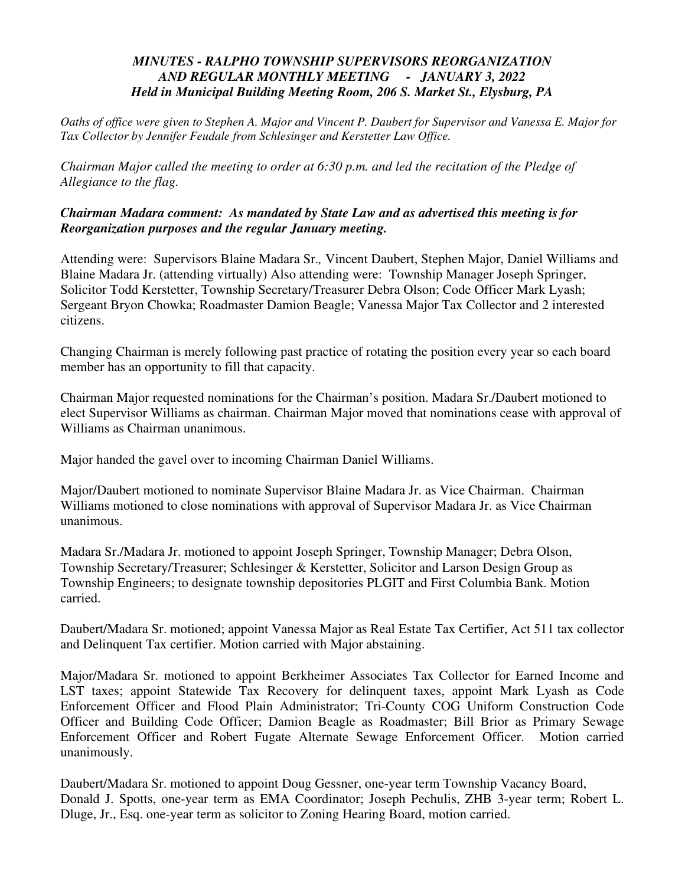## *MINUTES - RALPHO TOWNSHIP SUPERVISORS REORGANIZATION AND REGULAR MONTHLY MEETING - JANUARY 3, 2022 Held in Municipal Building Meeting Room, 206 S. Market St., Elysburg, PA*

*Oaths of office were given to Stephen A. Major and Vincent P. Daubert for Supervisor and Vanessa E. Major for Tax Collector by Jennifer Feudale from Schlesinger and Kerstetter Law Office.* 

*Chairman Major called the meeting to order at 6:30 p.m. and led the recitation of the Pledge of Allegiance to the flag.* 

## *Chairman Madara comment: As mandated by State Law and as advertised this meeting is for Reorganization purposes and the regular January meeting.*

Attending were: Supervisors Blaine Madara Sr.*,* Vincent Daubert, Stephen Major, Daniel Williams and Blaine Madara Jr. (attending virtually) Also attending were: Township Manager Joseph Springer, Solicitor Todd Kerstetter, Township Secretary/Treasurer Debra Olson; Code Officer Mark Lyash; Sergeant Bryon Chowka; Roadmaster Damion Beagle; Vanessa Major Tax Collector and 2 interested citizens.

Changing Chairman is merely following past practice of rotating the position every year so each board member has an opportunity to fill that capacity.

Chairman Major requested nominations for the Chairman's position. Madara Sr./Daubert motioned to elect Supervisor Williams as chairman. Chairman Major moved that nominations cease with approval of Williams as Chairman unanimous.

Major handed the gavel over to incoming Chairman Daniel Williams.

Major/Daubert motioned to nominate Supervisor Blaine Madara Jr. as Vice Chairman. Chairman Williams motioned to close nominations with approval of Supervisor Madara Jr. as Vice Chairman unanimous.

Madara Sr./Madara Jr. motioned to appoint Joseph Springer, Township Manager; Debra Olson, Township Secretary/Treasurer; Schlesinger & Kerstetter, Solicitor and Larson Design Group as Township Engineers; to designate township depositories PLGIT and First Columbia Bank. Motion carried.

Daubert/Madara Sr. motioned; appoint Vanessa Major as Real Estate Tax Certifier, Act 511 tax collector and Delinquent Tax certifier. Motion carried with Major abstaining.

Major/Madara Sr. motioned to appoint Berkheimer Associates Tax Collector for Earned Income and LST taxes; appoint Statewide Tax Recovery for delinquent taxes, appoint Mark Lyash as Code Enforcement Officer and Flood Plain Administrator; Tri-County COG Uniform Construction Code Officer and Building Code Officer; Damion Beagle as Roadmaster; Bill Brior as Primary Sewage Enforcement Officer and Robert Fugate Alternate Sewage Enforcement Officer. Motion carried unanimously.

Daubert/Madara Sr. motioned to appoint Doug Gessner, one-year term Township Vacancy Board, Donald J. Spotts, one-year term as EMA Coordinator; Joseph Pechulis, ZHB 3-year term; Robert L. Dluge, Jr., Esq. one-year term as solicitor to Zoning Hearing Board, motion carried.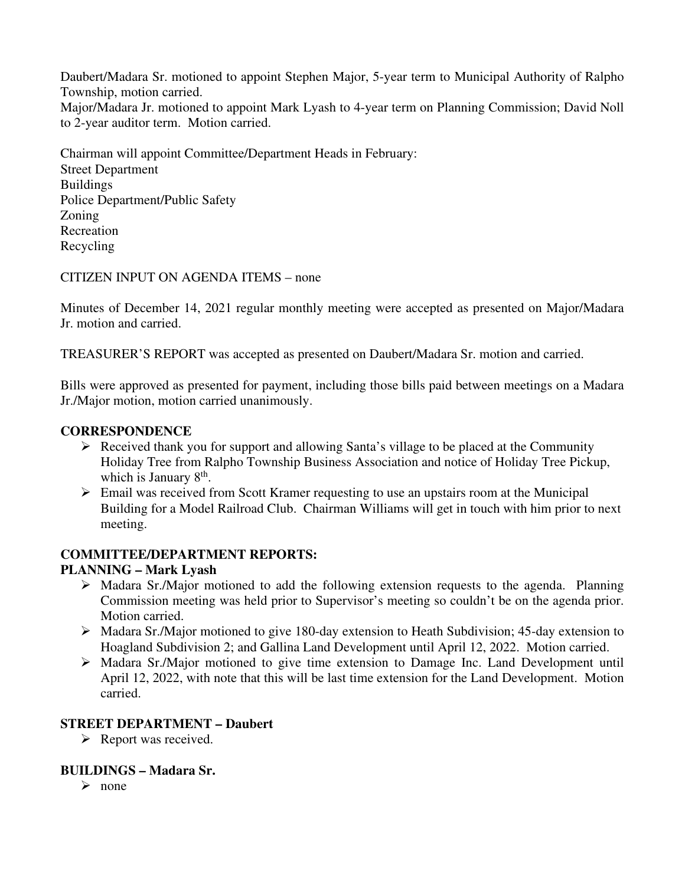Daubert/Madara Sr. motioned to appoint Stephen Major, 5-year term to Municipal Authority of Ralpho Township, motion carried. Major/Madara Jr. motioned to appoint Mark Lyash to 4-year term on Planning Commission; David Noll to 2-year auditor term. Motion carried.

Chairman will appoint Committee/Department Heads in February: Street Department Buildings Police Department/Public Safety Zoning Recreation Recycling

CITIZEN INPUT ON AGENDA ITEMS – none

Minutes of December 14, 2021 regular monthly meeting were accepted as presented on Major/Madara Jr. motion and carried.

TREASURER'S REPORT was accepted as presented on Daubert/Madara Sr. motion and carried.

Bills were approved as presented for payment, including those bills paid between meetings on a Madara Jr./Major motion, motion carried unanimously.

#### **CORRESPONDENCE**

- $\triangleright$  Received thank you for support and allowing Santa's village to be placed at the Community Holiday Tree from Ralpho Township Business Association and notice of Holiday Tree Pickup, which is January 8<sup>th</sup>.
- $\triangleright$  Email was received from Scott Kramer requesting to use an upstairs room at the Municipal Building for a Model Railroad Club. Chairman Williams will get in touch with him prior to next meeting.

#### **COMMITTEE/DEPARTMENT REPORTS:**

## **PLANNING – Mark Lyash**

- Madara Sr./Major motioned to add the following extension requests to the agenda. Planning Commission meeting was held prior to Supervisor's meeting so couldn't be on the agenda prior. Motion carried.
- Madara Sr./Major motioned to give 180-day extension to Heath Subdivision; 45-day extension to Hoagland Subdivision 2; and Gallina Land Development until April 12, 2022. Motion carried.
- Madara Sr./Major motioned to give time extension to Damage Inc. Land Development until April 12, 2022, with note that this will be last time extension for the Land Development. Motion carried.

#### **STREET DEPARTMENT – Daubert**

 $\triangleright$  Report was received.

## **BUILDINGS – Madara Sr.**

 $\triangleright$  none